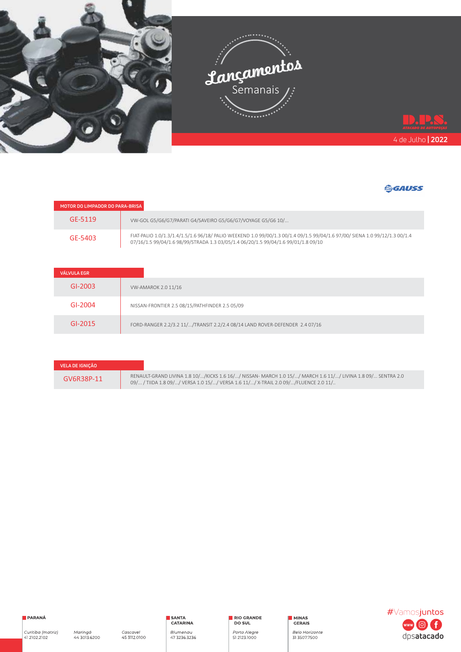

| MOTOR DO LIMPADOR DO PARA-BRISA |                                                                                                                                                                                                                   |
|---------------------------------|-------------------------------------------------------------------------------------------------------------------------------------------------------------------------------------------------------------------|
| GF-5119                         | VW-GOL G5/G6/G7/PARATI G4/SAVEIRO G5/G6/G7/VOYAGE G5/G6 10/                                                                                                                                                       |
| GF-5403                         | FIAT-PALIO 1.0/1.3/1.4/1.5/1.6 96/18/ PALIO WEEKEND 1.0 99/00/1.3 00/1.4 09/1.5 99/04/1.6 97/00/ SIENA 1.0 99/12/1.3 00/1.4<br>07/16/1.5 99/04/1.6 98/99/STRADA 1.3 03/05/1.4 06/20/1.5 99/04/1.6 99/01/1.8 09/10 |

| <b>VÁLVULA EGR</b> |                                                                             |
|--------------------|-----------------------------------------------------------------------------|
| $GI-2003$          | VW-AMAROK 2.0 11/16                                                         |
| GI-2004            | NISSAN-FRONTIER 2.5 08/15/PATHFINDER 2.5 05/09                              |
| GI-2015            | FORD-RANGER 2.2/3.2 11//TRANSIT 2.2/2.4 08/14 LAND ROVER-DEFENDER 2.4 07/16 |

| VELA DE IGNIÇÃO |                                                                                                                                                                                                        |
|-----------------|--------------------------------------------------------------------------------------------------------------------------------------------------------------------------------------------------------|
| GV6R38P-11      | RENAULT-GRAND LIVINA 1.8 10//KICKS 1.6 16// NISSAN- MARCH 1.0 15// MARCH 1.6 11// LIVINA 1.8 09/ SENTRA 2.0<br>09/ / TIIDA 1.8 09/ / VERSA 1.0 15/ / VERSA 1.6 11/ / X-TRAIL 2.0 09/ / FLUENCE 2.0 11/ |



RIO GRANDE

Porto Alegre<br>51 2123.1000

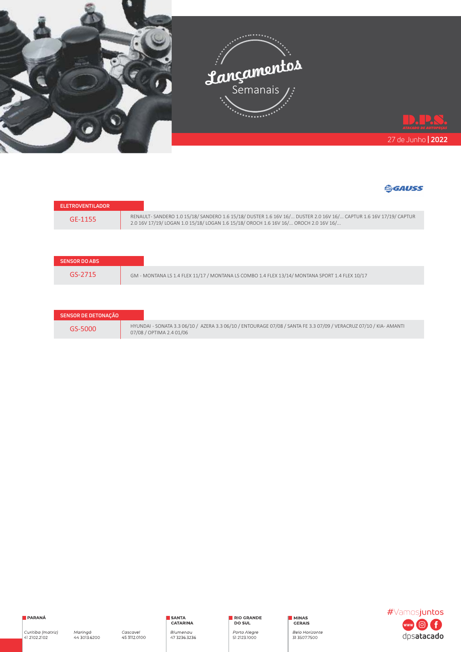



| <b>TELETROVENTILADOR</b> |                                                                                                                                                                                                       |
|--------------------------|-------------------------------------------------------------------------------------------------------------------------------------------------------------------------------------------------------|
| GF-1155                  | RENAULT-SANDERO 1.0 15/18/SANDERO 1.6 15/18/DUSTER 1.6 16V 16/ DUSTER 2.0 16V 16/ CAPTUR 1.6 16V 17/19/CAPTUR<br>2.0 16V 17/19/ LOGAN 1.0 15/18/ LOGAN 1.6 15/18/ OROCH 1.6 16V 16/ OROCH 2.0 16V 16/ |

| <b>SENSOR DO ABS</b> |                                                                                                |
|----------------------|------------------------------------------------------------------------------------------------|
| $GS-2715$            | GM - MONTANA LS 1.4 FLEX 11/17 / MONTANA LS COMBO 1.4 FLEX 13/14/ MONTANA SPORT 1.4 FLEX 10/17 |

| <b>SENSOR DE DETONAÇÃO</b> |                                                                                                                                                |
|----------------------------|------------------------------------------------------------------------------------------------------------------------------------------------|
| $GS-5000$                  | HYUNDAI - SONATA 3.3 06/10 / AZERA 3.3 06/10 / ENTOURAGE 07/08 / SANTA FE 3.3 07/09 / VERACRUZ 07/10 / KIA- AMANTI<br>07/08 / OPTIMA 2.4 01/06 |



RIO GRANDE

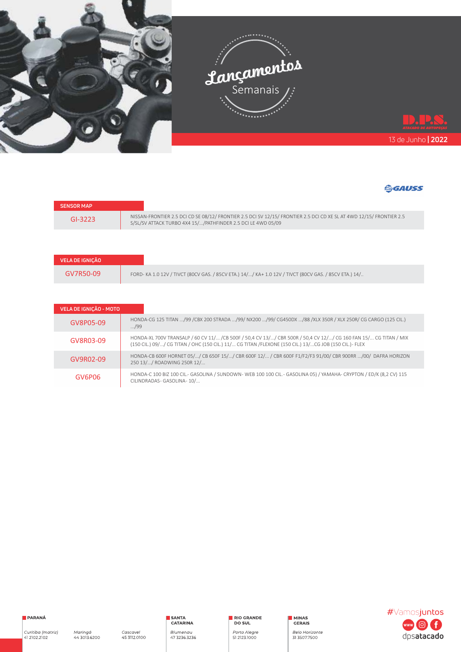



| <b>SENSOR MAP</b> |                                                                                                                                                                                      |
|-------------------|--------------------------------------------------------------------------------------------------------------------------------------------------------------------------------------|
| GI-3223           | NISSAN-FRONTIER 2.5 DCI CD SE 08/12/ FRONTIER 2.5 DCI SV 12/15/ FRONTIER 2.5 DCI CD XE SL AT 4WD 12/15/ FRONTIER 2.5<br>S/SL/SV ATTACK TURBO 4X4 15//PATHFINDER 2.5 DCI LE 4WD 05/09 |

| VELA DE IGNICÃO |                                                                                                      |
|-----------------|------------------------------------------------------------------------------------------------------|
| GV7R50-09       | FORD-KA 1.0 12V / TIVCT (80CV GAS. / 85CV ETA.) 14// KA+ 1.0 12V / TIVCT (80CV GAS. / 85CV ETA.) 14/ |

| VELA DE IGNICÃO - MOTO |                                                                                                                                                                                                                            |
|------------------------|----------------------------------------------------------------------------------------------------------------------------------------------------------------------------------------------------------------------------|
| GV8P05-09              | HONDA-CG 125 TITAN /99 /CBX 200 STRADA /99/ NX200 /99/ CG450DX /88 /XLX 350R / XLX 250R/ CG CARGO (125 CIL.)<br>/99                                                                                                        |
| GV8R03-09              | HONDA-XL 700V TRANSALP / 60 CV 11/ / CB 500F / 50,4 CV 13// CBR 500R / 50,4 CV 12// CG 160 FAN 15/ CG TITAN / MIX<br>(150 CIL.) 09// CG TITAN / OHC (150 CIL.) 11/ CG TITAN /FLEXONE (150 CIL.) 13/CG JOB (150 CIL.)- FLEX |
| GV9R02-09              | HONDA-CB 600F HORNET 05// CB 650F 15// CBR 600F 12/ / CBR 600F F1/F2/F3 91/00/ CBR 900RR /00/ DAFRA HORIZON<br>250 13// ROADWING 250R 12/                                                                                  |
| GV6P06                 | HONDA-C 100 BIZ 100 CIL.- GASOLINA / SUNDOWN-WEB 100 100 CIL.- GASOLINA 05) / YAMAHA- CRYPTON / ED/K (8,2 CV) 115<br>CILINDRADAS-GASOLINA-10/                                                                              |



RIO GRANDE

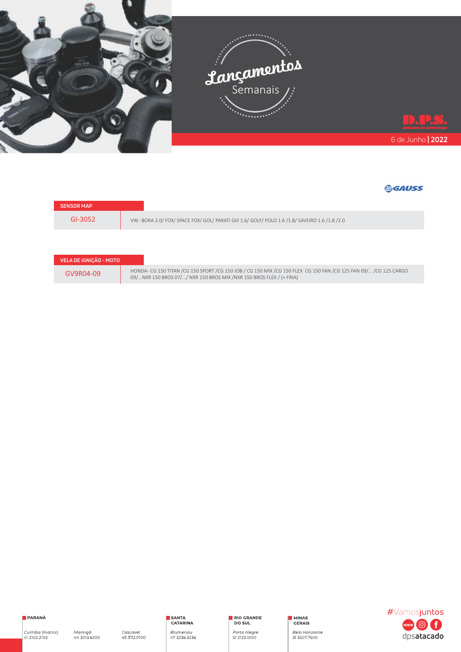

| <b>SENSOR MAP</b> |                                                                                               |
|-------------------|-----------------------------------------------------------------------------------------------|
| GI-3052           | VW-BORA 2.0/ FOX/ SPACE FOX/ GOL/ PARATI GIII 1.6/ GOLF/ POLO 1.6 /1.8/ SAVEIRO 1.6 /1.8 /2.0 |

| VELA DE IGNIÇÃO - MOTO |    |
|------------------------|----|
| GV9R04-09              | H( |



RIO GRANDE

Porto Alegre<br>51 2123.1000

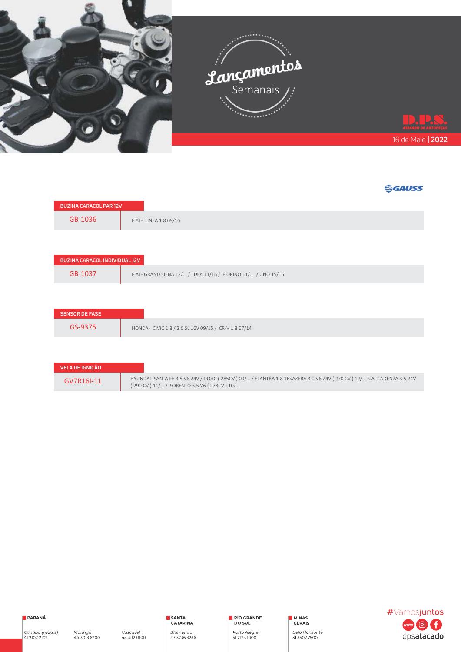

| <b>BUZINA CARACOL PAR 12V</b>        |                                                               |
|--------------------------------------|---------------------------------------------------------------|
| GB-1036                              | FIAT- LINEA 1.8 09/16                                         |
|                                      |                                                               |
| <b>BUZINA CARACOL INDIVIDUAL 12V</b> |                                                               |
| GB-1037                              | FIAT - GRAND SIENA 12/ / IDEA 11/16 / FIORINO 11/ / UNO 15/16 |
|                                      |                                                               |
| <b>SENSOR DE FASE</b>                |                                                               |
| GS-9375                              | HONDA- CIVIC 1.8 / 2.0 SL 16V 09/15 / CR-V 1.8 07/14          |
|                                      |                                                               |

| VELA DE IGNICÃO |                                                                                                                                                                  |
|-----------------|------------------------------------------------------------------------------------------------------------------------------------------------------------------|
| GV7R16I-11      | HYUNDAI- SANTA FE 3.5 V6 24V / DOHC (285CV) 09/ / ELANTRA 1.8 16VAZERA 3.0 V6 24V (270 CV) 12/ KIA- CADENZA 3.5 24V<br>(290 CV) 11/ / SORENTO 3.5 V6 (278CV) 10/ |



RIO GRANDE

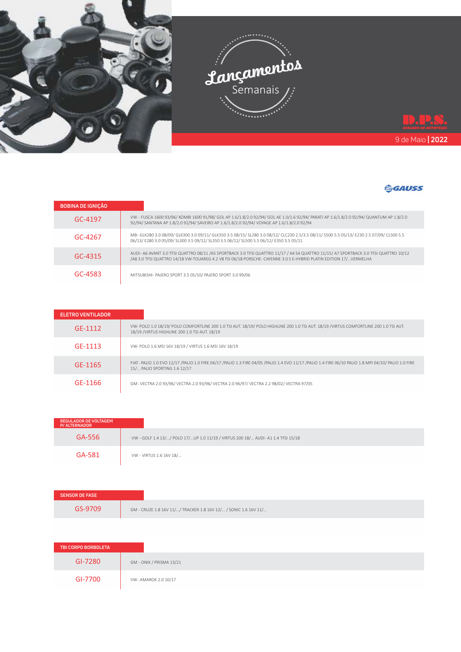

| <b>BOBINA DE IGNIÇÃO</b> |                                                                                                                                                                                                                                                            |
|--------------------------|------------------------------------------------------------------------------------------------------------------------------------------------------------------------------------------------------------------------------------------------------------|
| GC-4197                  | VW - FUSCA 1600 93/96/ KOMBI 1600 91/98/ GOL AP 1.6/1.8/2.0 92/94/ GOL AE 1.0/1.6 92/94/ PARATI AP 1.6/1.8/2.0 92/94/ QUANTUM AP 1.8/2.0<br>92/94/ SANTANA AP 1.8/2.0 92/94/ SAVEIRO AP 1.6/1.8/2.0 92/94/ VOYAGE AP 1.6/1.8/2.0 92/94                     |
| $GC-4267$                | MB-GLK280 3.0 08/09/ GLK300 3.0 09/11/ GLK350 3.5 08/15/ SL280 3.0 08/12/ CLC230 2.5/3.5 08/11/ S500 5.5 05/13/ E230 2.5 07/09/ CL500 5.5<br>06/13/ E280 3.0 05/09/ SL300 3.5 09/12/ SL350 3.5 06/12/ SL500 5.5 06/12/ E350 3.5 05/11                      |
| GC-4315                  | AUDI- A6 AVANT 3.0 TFSI QUATTRO 08/11 /A5 SPORTBACK 3.0 TFSI QUATTRO 11/17 / A4 S4 QUATTRO 11/15/ A7 SPORTBACK 3.0 TFSI QUATTRO 10/12<br>/A8 3.0 TFSI QUATTRO 14/18 VW-TOUAREG 4.2 V8 FSI 06/18 PORSCHE- CAYENNE 3.0 S E-HYBRID PLATIN EDITION 17/VERMELHA |
| GC-4583                  | MITSUBISHI- PAJERO SPORT 3.5 05/10/ PAJERO SPORT 3.0 99/06                                                                                                                                                                                                 |

| <b>ELETRO VENTILADOR</b> |                                                                                                                                                                                          |
|--------------------------|------------------------------------------------------------------------------------------------------------------------------------------------------------------------------------------|
| GF-1112                  | VW- POLO 1.0 18/19/ POLO COMFORTLINE 200 1.0 TSI AUT. 18/19/ POLO HIGHLINE 200 1.0 TSI AUT. 18/19 /VIRTUS COMFORTLINE 200 1.0 TSI AUT.<br>18/19 / VIRTUS HIGHLINE 200 1.0 TSI AUT. 18/19 |
| GF-1113                  | VW- POLO 1.6 MSI 16V 18/19 / VIRTUS 1.6 MSI 16V 18/19                                                                                                                                    |
| GF-1165                  | FIAT-PALIO 1.0 EVO 12/17 /PALIO 1.0 FIRE 04/17 /PALIO 1.3 FIRE 04/05 /PALIO 1.4 EVO 11/17 /PALIO 1.4 FIRE 06/10 PALIO 1.8 MPI 04/10/PALIO 1.0 FIRE<br>15/ PALIO SPORTING 1.6 12/17       |
| GF-1166                  | GM-VECTRA 2.0 93/96/VECTRA 2.0 93/96/VECTRA 2.0 96/97/VECTRA 2.2 98/02/VECTRA 97/05                                                                                                      |

| <b>REGULADOR DE VOLTAGEM</b><br><b>P/ ALTERNADOR</b> |                                                                                  |
|------------------------------------------------------|----------------------------------------------------------------------------------|
| GA-556                                               | VW - GOLF 1.4 13// POLO 17/UP 1.0 11/19 / VIRTUS 200 18/ AUDI- A1 1.4 TFSI 15/18 |
| GA-581                                               | VW - VIRTUS 1.6 16V 18/                                                          |

| <b>SENSOR DE FASE</b> |                                                                 |
|-----------------------|-----------------------------------------------------------------|
| GS-9709               | GM - CRUZE 1.8 16V 11// TRACKER 1.8 16V 12/ / SONIC 1.6 16V 11/ |

| TBI CORPO BORBOLETA |                          |
|---------------------|--------------------------|
| GI-7280             | GM - ONIX / PRISMA 13/21 |
| GI-7700             | VW- AMAROK 2.0 10/17     |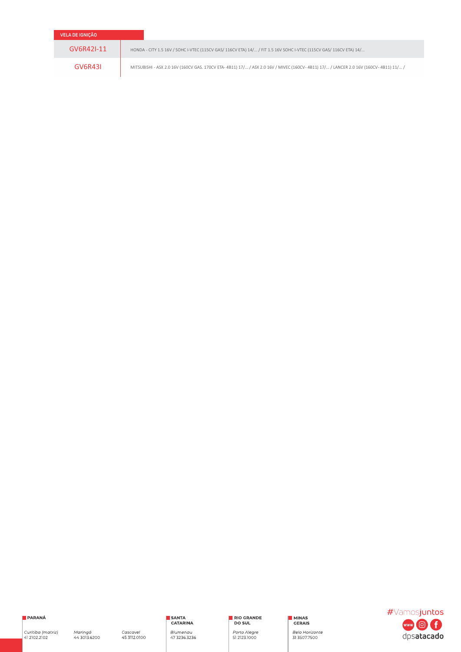| VELA DE IGNIÇÃO |                                                                                                                                        |
|-----------------|----------------------------------------------------------------------------------------------------------------------------------------|
| GV6R42I-11      | HONDA - CITY 1.5 16V / SOHC I-VTEC (115CV GAS/ 116CV ETA) 14/ / FIT 1.5 16V SOHC I-VTEC (115CV GAS/ 116CV ETA) 14/                     |
| GV6R43I         | MITSUBISHI - ASX 2.0 16V (160CV GAS. 170CV ETA- 4B11) 17/ / ASX 2.0 16V / MIVEC (160CV- 4B11) 17/ / LANCER 2.0 16V (160CV- 4B11) 11/ / |

PARANÁ

Curitiba (matriz)<br>41 2102.2102

Maringá<br>44 3013.6200

Cascavel<br>45 3112.0100

SANTA<br>CATARINA Blumenau<br>47 3236.3236 RIO GRANDE

Porto Alegre<br>51 2123.1000

MINAS<br>GERAIS

Belo Horizonte<br>31 3507.7500

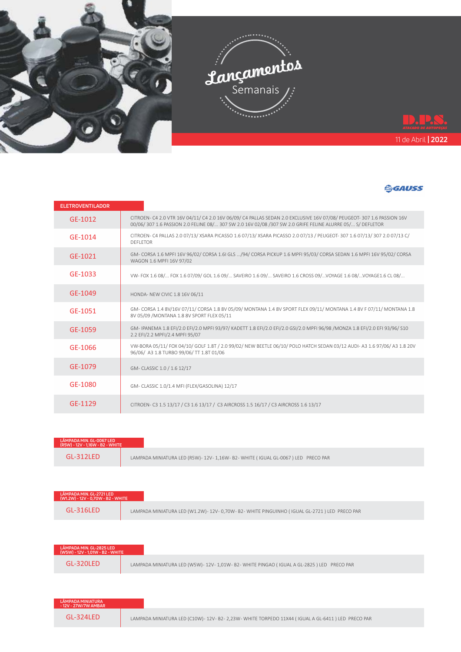

| <b>ELETROVENTILADOR</b> |                                                                                                                                                                                                                                      |
|-------------------------|--------------------------------------------------------------------------------------------------------------------------------------------------------------------------------------------------------------------------------------|
| GE-1012                 | CITROEN- C4 2.0 VTR 16V 04/11/ C4 2.0 16V 06/09/ C4 PALLAS SEDAN 2.0 EXCLUSIVE 16V 07/08/ PEUGEOT- 307 1.6 PASSION 16V<br>00/06/ 307 1.6 PASSION 2.0 FELINE 08/ 307 SW 2.0 16V 02/08 /307 SW 2.0 GRIFE FELINE ALURRE 05/ S/ DEFLETOR |
| GF-1014                 | CITROEN- C4 PALLAS 2.0 07/13/XSARA PICASSO 1.6 07/13/XSARA PICASSO 2.0 07/13 / PEUGEOT- 307 1.6 07/13/307 2.0 07/13 C/<br><b>DEFLETOR</b>                                                                                            |
| GE-1021                 | GM-CORSA 1.6 MPFI 16V 96/02/ CORSA 1.6I GLS /94/ CORSA PICKUP 1.6 MPFI 95/03/ CORSA SEDAN 1.6 MPFI 16V 95/02/ CORSA<br>WAGON 1.6 MPFI 16V 97/02                                                                                      |
| GF-1033                 | VW-FOX 1.6 08/ FOX 1.6 07/09/GOL 1.6 09/ SAVEIRO 1.6 09/ SAVEIRO 1.6 CROSS 09/VOYAGE 1.6 08/VOYAGE1.6 CL 08/                                                                                                                         |
| GF-1049                 | HONDA- NEW CIVIC 1.8 16V 06/11                                                                                                                                                                                                       |
| GF-1051                 | GM-CORSA 1.4 8V/16V 07/11/ CORSA 1.8 8V 05/09/ MONTANA 1.4 8V SPORT FLEX 09/11/ MONTANA 1.4 8V F 07/11/ MONTANA 1.8<br>8V 05/09 / MONTANA 1.8 8V SPORT FLEX 05/11                                                                    |
| GE-1059                 | GM-IPANEMA 1.8 EFI/2.0 EFI/2.0 MPFI 93/97/KADETT 1.8 EFI/2.0 EFI/2.0 GSI/2.0 MPFI 96/98 /MONZA 1.8 EFI/2.0 EFI 93/96/S10<br>2.2 EFI/2.2 MPFI/2.4 MPFI 95/07                                                                          |
| GE-1066                 | VW-BORA 05/11/ FOX 04/10/ GOLF 1.8T / 2.0 99/02/ NEW BEETLE 06/10/ POLO HATCH SEDAN 03/12 AUDI-A3 1.6 97/06/A3 1.8 20V<br>96/06/ A3 1.8 TURBO 99/06/ TT 1.8T 01/06                                                                   |
| GF-1079                 | GM- CLASSIC 1.0 / 1.6 12/17                                                                                                                                                                                                          |
| GF-1080                 | GM- CLASSIC 1.0/1.4 MFI (FLEX/GASOLINA) 12/17                                                                                                                                                                                        |
| GF-1129                 | CITROEN- C3 1.5 13/17 / C3 1.6 13/17 / C3 AIRCROSS 1.5 16/17 / C3 AIRCROSS 1.6 13/17                                                                                                                                                 |

| LÂMPADA MIN. GL-0067 LED<br>(R5W) - 12V - 1,16W - B2 - WHITE |                                                                              |
|--------------------------------------------------------------|------------------------------------------------------------------------------|
| $GI - 312I FD$                                               | LAMPADA MINIATURA LED (R5W)-12V-1,16W-B2-WHITE (IGUAL GL-0067) LED PRECO PAR |

| LÂMPADA MIN. GL-2721 LED<br>(W1.2W) - 12V - 0.70W - B2 - WHITE |                                                                                          |
|----------------------------------------------------------------|------------------------------------------------------------------------------------------|
| $GI - 316IFD$                                                  | LAMPADA MINIATURA LED (W1.2W)-12V-0,70W-B2-WHITE PINGUINHO (IGUAL GL-2721) LED PRECO PAR |

| LÂMPADA MIN. GL-2825 LED<br>(W5W) - 12V - 1,01W - B2 - WHITE |                                                                                       |
|--------------------------------------------------------------|---------------------------------------------------------------------------------------|
| $GI - 320IFD$                                                | LAMPADA MINIATURA LED (W5W)-12V-1,01W-B2-WHITE PINGAO (IGUAL A GL-2825) LED PRECO PAR |

| LÂMPADA MINIATURA<br>- 12V - 27W/7W AMBAR |                                                                                               |
|-------------------------------------------|-----------------------------------------------------------------------------------------------|
| GL-324LED                                 | LAMPADA MINIATURA LED (C10W)-12V-B2-2,23W-WHITE TORPEDO 11X44 (IGUAL A GL-6411) LED PRECO PAR |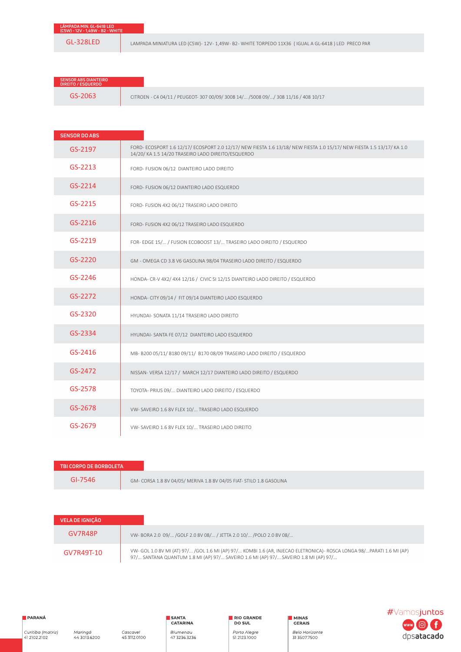LAMPADA MINIATURA LED (C5W)-12V-1,49W-B2-WHITE TORPEDO 11X36 (IGUAL A GL-6418) LED PRECO PAR

| <b>SENSOR ABS DIANTEIRO</b><br><b>DIREITO / ESQUERDO</b> |                                                                                    |
|----------------------------------------------------------|------------------------------------------------------------------------------------|
| 3S-2063                                                  | CITROEN - C4 04/11 / PEUGEOT- 307 00/09/ 3008 14/ /5008 09// 308 11/16 / 408 10/17 |

| <b>SENSOR DO ABS</b> |                                                                                                                                                                              |
|----------------------|------------------------------------------------------------------------------------------------------------------------------------------------------------------------------|
| GS-2197              | FORD- ECOSPORT 1.6 12/17/ ECOSPORT 2.0 12/17/ NEW FIESTA 1.6 13/18/ NEW FIESTA 1.0 15/17/ NEW FIESTA 1.5 13/17/ KA 1.0<br>14/20/ KA 1.5 14/20 TRASEIRO LADO DIREITO/ESQUERDO |
| GS-2213              | FORD- FUSION 06/12 DIANTEIRO LADO DIREITO                                                                                                                                    |
| GS-2214              | FORD- FUSION 06/12 DIANTEIRO LADO ESQUERDO                                                                                                                                   |
| GS-2215              | FORD- FUSION 4X2 06/12 TRASEIRO LADO DIREITO                                                                                                                                 |
| $GS-2216$            | FORD- FUSION 4X2 06/12 TRASEIRO LADO ESQUERDO                                                                                                                                |
| GS-2219              | FOR- EDGE 15/ / FUSION ECOBOOST 13/ TRASEIRO LADO DIREITO / ESQUERDO                                                                                                         |
| GS-2220              | GM - OMEGA CD 3.8 V6 GASOLINA 98/04 TRASEIRO LADO DIREITO / ESQUERDO                                                                                                         |
| GS-2246              | HONDA- CR-V 4X2/ 4X4 12/16 / CIVIC SI 12/15 DIANTEIRO LADO DIREITO / ESQUERDO                                                                                                |
| GS-2272              | HONDA- CITY 09/14 / FIT 09/14 DIANTEIRO LADO ESQUERDO                                                                                                                        |
| GS-2320              | HYUNDAI- SONATA 11/14 TRASEIRO LADO DIREITO                                                                                                                                  |
| GS-2334              | HYUNDAI- SANTA FE 07/12 DIANTEIRO LADO ESQUERDO                                                                                                                              |
| GS-2416              | MB- B200 05/11/ B180 09/11/ B170 08/09 TRASEIRO LADO DIREITO / ESQUERDO                                                                                                      |
| GS-2472              | NISSAN-VERSA 12/17 / MARCH 12/17 DIANTEIRO LADO DIREITO / ESQUERDO                                                                                                           |
| GS-2578              | TOYOTA- PRIUS 09/ DIANTEIRO LADO DIREITO / ESQUERDO                                                                                                                          |
| GS-2678              | VW-SAVEIRO 1.6 8V FLEX 10/ TRASEIRO LADO ESQUERDO                                                                                                                            |
| GS-2679              | VW- SAVEIRO 1.6 8V FLEX 10/ TRASEIRO LADO DIREITO                                                                                                                            |

| TBI CORPO DE BORBOLETA |                                                                      |
|------------------------|----------------------------------------------------------------------|
| GI-7546                | GM- CORSA 1.8 8V 04/05/ MERIVA 1.8 8V 04/05 FIAT- STILO 1.8 GASOLINA |

| VELA DE IGNICÃO |                                                                                                                                                                                                              |
|-----------------|--------------------------------------------------------------------------------------------------------------------------------------------------------------------------------------------------------------|
| GV7R48P         | VW-BORA 2.0 09/ /GOLF 2.0 8V 08/ / JETTA 2.0 10/ /POLO 2.0 8V 08/                                                                                                                                            |
| GV7R49T-10      | VW- GOL 1.0 8V MI (AT) 97/ /GOL 1.6 MI (AP) 97/ KOMBI 1.6 (AR, INJECAO ELETRONICA)- ROSCA LONGA 98/PARATI 1.6 MI (AP)<br>97/ SANTANA QUANTUM 1.8 MI (AP) 97/ SAVEIRO 1.6 MI (AP) 97/ SAVEIRO 1.8 MI (AP) 97/ |

RIO GRANDE

Porto Alegre<br>51 2123.1000

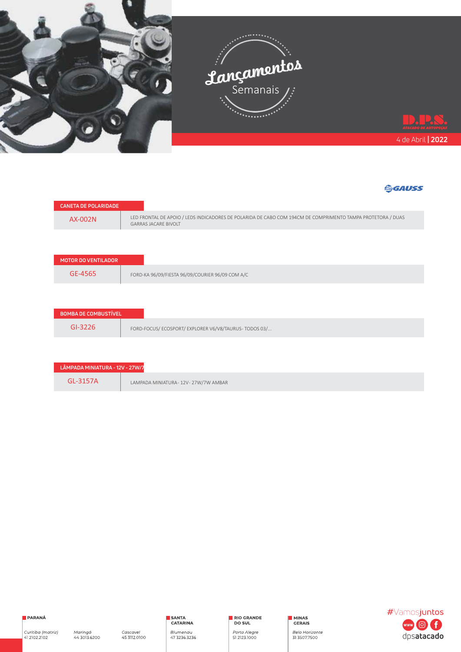



| <b>CANETA DE PULARIDADE</b> |                                                                                                                                            |
|-----------------------------|--------------------------------------------------------------------------------------------------------------------------------------------|
| AX-002N                     | LED FRONTAL DE APOIO / LEDS INDICADORES DE POLARIDA DE CABO COM 194CM DE COMPRIMENTO TAMPA PROTETORA / DUAS<br><b>GARRAS JACARE BIVOLT</b> |
|                             |                                                                                                                                            |
| <b>MOTOR DO VENTILADOR</b>  |                                                                                                                                            |
| GE-4565                     | FORD-KA 96/09/FIESTA 96/09/COURIER 96/09 COM A/C                                                                                           |
|                             |                                                                                                                                            |
| <b>BOMBA DE COMBUSTÍVEL</b> |                                                                                                                                            |
| $GI-3226$                   | FORD-FOCUS/ECOSPORT/EXPLORER V6/V8/TAURUS-TODOS 03/                                                                                        |

| LÂMPADA MINIATURA - 12V - 27W/7 |                                    |
|---------------------------------|------------------------------------|
| $GI - 3157A$                    | LAMPADA MINIATURA-12V-27W/7W AMBAR |



RIO GRANDE

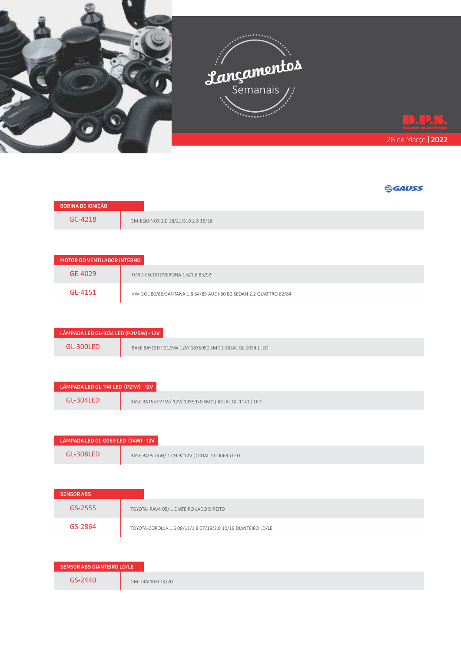

| <b>BOBINA DE IGNICÃO</b> |                                    |
|--------------------------|------------------------------------|
| GC-4218                  | GM-EQUINOX 2.0 18/21/S10 2.5 15/18 |

| MOTOR DO VENTILADOR INTERNO |                                                                   |
|-----------------------------|-------------------------------------------------------------------|
| GE-4029                     | FORD-ESCORT/VERONA 1.6/1.8 83/92                                  |
| GE-4151                     | VW-GOL 80/86/SANTANA 1.8 84/89 AUDI-80 B2 SEDAN 2.2 QUATTRO 82/84 |

| LÂMPADA LED GL-1034 LED (P21/5W) - 12V |                                                         |
|----------------------------------------|---------------------------------------------------------|
| GL-300LED                              | BASE BAY15D P21/5W 12V/ 18X5050 SMD (IGUAL GL-1034) LED |

| LÂMPADA LED GL-1141 LED (P21W) - 12V |                                                     |
|--------------------------------------|-----------------------------------------------------|
| GL-304LED                            | BASE BA15S P21W/12V/13X5050 SMD (IGUAL GL-1141) LED |

| LÂMPADA LED GL-0069 LED (T4W) - 12V |                                                |
|-------------------------------------|------------------------------------------------|
| $GI - 308I FD$                      | BASE BA9S T4W/ 1 CHIP/ 12V (IGUAL GL-0069) LED |

| <b>SENSOR ABS</b> |                                                              |
|-------------------|--------------------------------------------------------------|
| GS-2555           | TOYOTA- RAV4 05/ DIATEIRO LADO DIREITO                       |
| GS-2864           | TOYOTA-COROLLA 1.6 08/11/1.8 07/19/2.0 10/19 DIANTEIRO LD/LE |

| SENSOR ABS DIANTEIRO LD/LE |                  |
|----------------------------|------------------|
| GS-2440                    | GM-TRACKER 14/20 |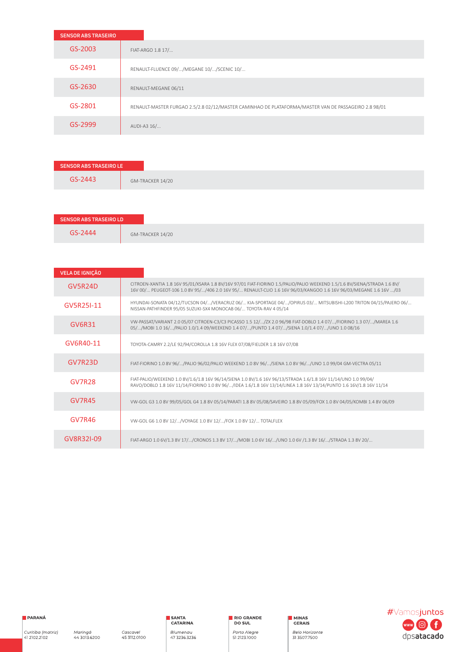| <b>SENSOR ABS TRASEIRO</b> |                                                                                                      |
|----------------------------|------------------------------------------------------------------------------------------------------|
| GS-2003                    | FIAT-ARGO 1.8 17/                                                                                    |
| GS-2491                    | RENAULT-FLUENCE 09//MEGANE 10//SCENIC 10/                                                            |
| GS-2630                    | RENAULT-MEGANE 06/11                                                                                 |
| GS-2801                    | RENAULT-MASTER FURGAO 2.5/2.8 02/12/MASTER CAMINHAO DE PLATAFORMA/MASTER VAN DE PASSAGEIRO 2.8 98/01 |
| GS-2999                    | AUDI-A3 16/                                                                                          |

| SENSOR ABS TRASEIRO LE      |
|-----------------------------|
| GS-2443<br>GM-TRACKER 14/20 |

| <b>VELA DE IGNIÇÃO</b> |                                                                                                                                                                                                                                               |  |  |
|------------------------|-----------------------------------------------------------------------------------------------------------------------------------------------------------------------------------------------------------------------------------------------|--|--|
| GV5R24D                | CITROEN-XANTIA 1.8 16V 95/01/XSARA 1.8 8V/16V 97/01 FIAT-FIORINO 1.5/PALIO/PALIO WEEKEND 1.5/1.6 8V/SIENA/STRADA 1.6 8V/<br>16V 00/ PEUGEOT-106 1.0 8V 95//406 2.0 16V 95/ RENAULT-CLIO 1.6 16V 96/03/KANGOO 1.6 16V 96/03/MEGANE 1.6 16V /03 |  |  |
| GV5R25I-11             | HYUNDAI-SONATA 04/12/TUCSON 04//VERACRUZ 06/ KIA-SPORTAGE 04//OPIRUS 03/ MITSUBISHI-L200 TRITON 04/15/PAJERO 06/<br>NISSAN-PATHFINDER 95/05 SUZUKI-SX4 MONOCAB 06/ TOYOTA-RAV 4 05/14                                                         |  |  |
| GV6R31                 | VW-PASSAT/VARIANT 2.0 05/07 CITROEN-C3/C3 PICASSO 1.5 12//ZX 2.0 96/98 FIAT-DOBLO 1.4 07//FIORINO 1.3 07//MAREA 1.6<br>05//MOBI 1.0 16//PALIO 1.0/1.4 09/WEEKEND 1.4 07//PUNTO 1.4 07//SIENA 1.0/1.4 07//UNO 1.0 08/16                        |  |  |
| GV6R40-11              | TOYOTA-CAMRY 2.2/LE 92/94/COROLLA 1.8 16V FLEX 07/08/FIELDER 1.8 16V 07/08                                                                                                                                                                    |  |  |
| GV7R23D                | FIAT-FIORINO 1.0 8V 96//PALIO 96/02/PALIO WEEKEND 1.0 8V 96//SIENA 1.0 8V 96//UNO 1.0 99/04 GM-VECTRA 05/11                                                                                                                                   |  |  |
| <b>GV7R28</b>          | FIAT-PALIO/WEEKEND 1.0 8V/1.6/1.8 16V 96/14/SIENA 1.0 8V/1.6 16V 96/13/STRADA 1.6/1.8 16V 11/14/UNO 1.0 99/04/<br>RAVO/DOBLO 1.8 16V 11/14/FIORINO 1.0 8V 96//IDEA 1.6/1.8 16V 13/14/LINEA 1.8 16V 13/14/PUNTO 1.6 16V/1.8 16V 11/14          |  |  |
| <b>GV7R45</b>          | VW-GOL G3 1.0 8V 99/05/GOL G4 1.8 8V 05/14/PARATI 1.8 8V 05/08/SAVEIRO 1.8 8V 05/09/FOX 1.0 8V 04/05/KOMBI 1.4 8V 06/09                                                                                                                       |  |  |
| <b>GV7R46</b>          | VW-GOL G6 1.0 8V 12//VOYAGE 1.0 8V 12//FOX 1.0 8V 12/ TOTALFLEX                                                                                                                                                                               |  |  |
| GV8R321-09             | FIAT-ARGO 1.0 6V/1.3 8V 17//CRONOS 1.3 8V 17//MOBI 1.0 6V 16//UNO 1.0 6V /1.3 8V 16//STRADA 1.3 8V 20/                                                                                                                                        |  |  |

Cascavel<br>45 3112.0100

RIO GRANDE

Porto Alegre<br>51 2123.1000

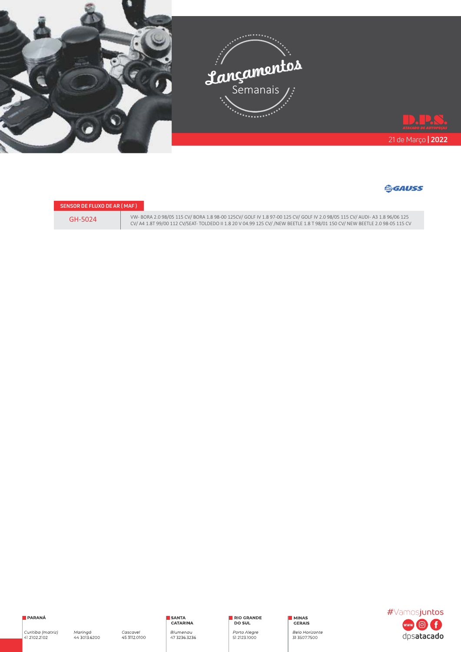

#### **GGAUSS**

| <b>SENSOR DE FLUXO DE AR (MAF)</b> |           |
|------------------------------------|-----------|
| GH-5024                            | <b>VV</b> |
|                                    |           |

VW- BORA 2.0 98/05 115 CV/ BORA 1.8 98-00 125CV/ GOLF IV 1.8 97-00 125 CV/ GOLF IV 2.0 98/05 115 CV/ AUDI- A3 1.8 96/06 125<br>CV/ A4 1.8T 99/00 112 CV/SEAT- TOLDEDO II 1.8 20 V 04.99 125 CV/ /NEW BEETLE 1.8 T 98/01 150 CV/ N



Curitiba (matriz)<br>41 2102.2102

RIO GRANDE

Porto Alegre<br>51 2123.1000

MINAS<br>CERAIS Belo Horizonte<br>31 3507.7500 #Vamosjuntos **COL**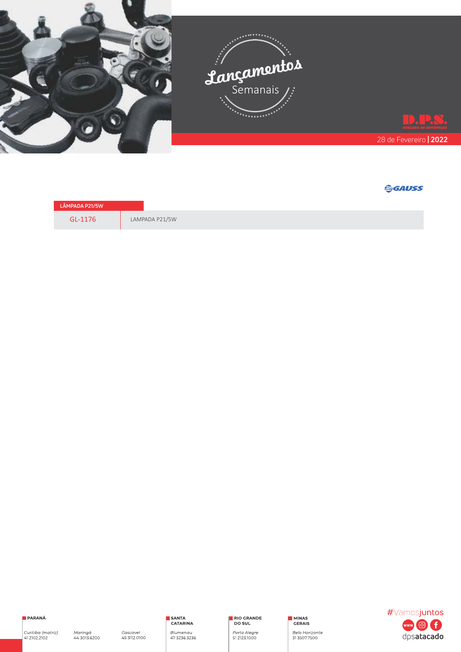

| <b>LÂMPADA P21/5W</b> |                |
|-----------------------|----------------|
| GL-1176               | LAMPADA P21/5W |

PARANÁ

Curitiba (matriz)<br>41 2102.2102

RIO GRANDE

Porto Alegre<br>51 2123.1000